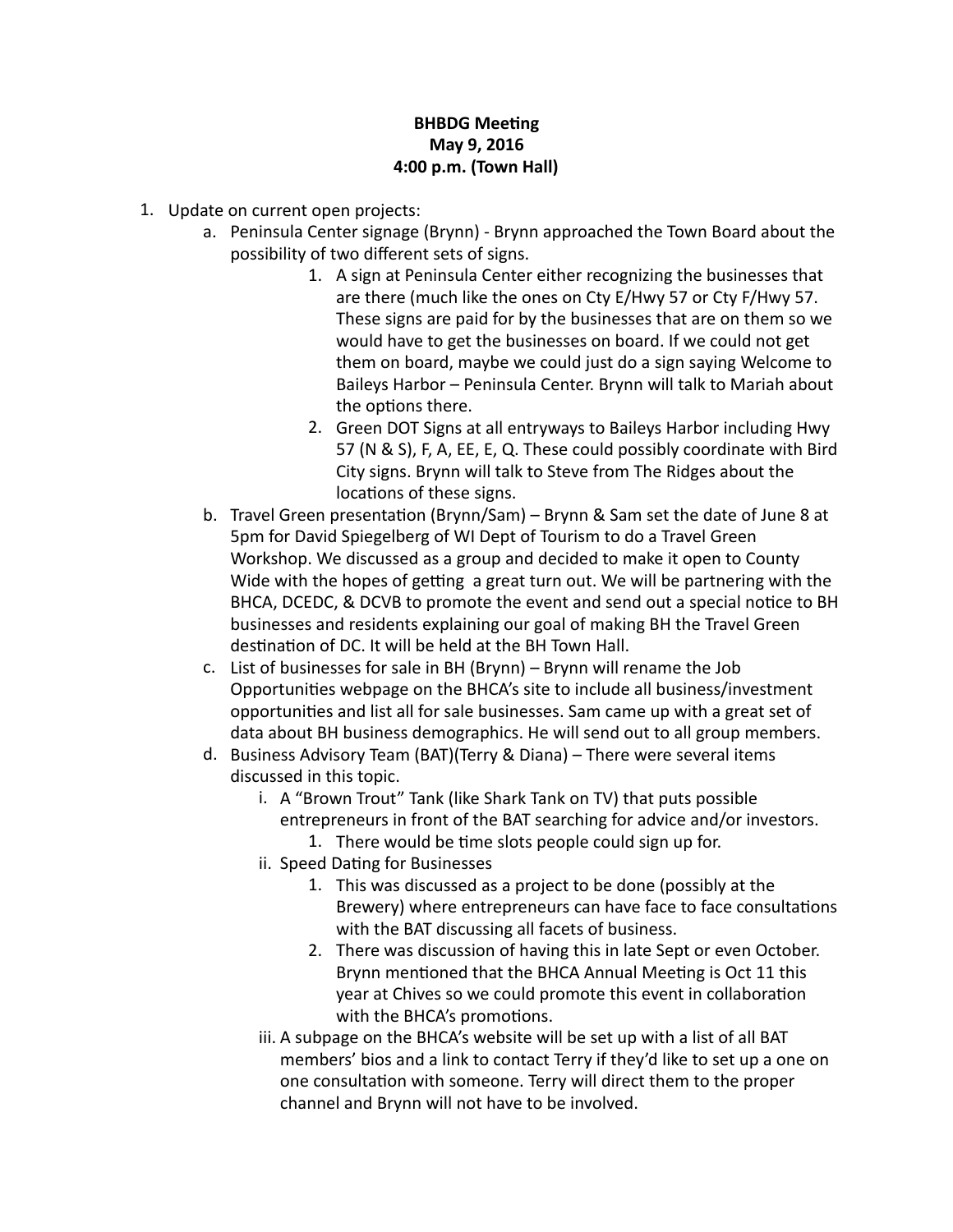## **BHBDG** Meeting **May 9, 2016 4:00 p.m. (Town Hall)**

- 1. Update on current open projects:
	- a. Peninsula Center signage (Brynn) Brynn approached the Town Board about the possibility of two different sets of signs.
		- 1. A sign at Peninsula Center either recognizing the businesses that are there (much like the ones on Cty  $E/Hwy$  57 or Cty  $F/Hwy$  57. These signs are paid for by the businesses that are on them so we would have to get the businesses on board. If we could not get them on board, maybe we could just do a sign saying Welcome to Baileys Harbor – Peninsula Center. Brynn will talk to Mariah about the options there.
		- 2. Green DOT Signs at all entryways to Baileys Harbor including Hwy 57 (N & S), F, A, EE, E, Q. These could possibly coordinate with Bird City signs. Brynn will talk to Steve from The Ridges about the locations of these signs.
	- b. Travel Green presentation (Brynn/Sam) Brynn & Sam set the date of June 8 at 5pm for David Spiegelberg of WI Dept of Tourism to do a Travel Green Workshop. We discussed as a group and decided to make it open to County Wide with the hopes of getting a great turn out. We will be partnering with the BHCA, DCEDC, & DCVB to promote the event and send out a special notice to BH businesses and residents explaining our goal of making BH the Travel Green destination of DC. It will be held at the BH Town Hall.
	- c. List of businesses for sale in BH (Brynn) Brynn will rename the Job Opportunities webpage on the BHCA's site to include all business/investment opportunities and list all for sale businesses. Sam came up with a great set of data about BH business demographics. He will send out to all group members.
	- d. Business Advisory Team (BAT)(Terry & Diana) There were several items discussed in this topic.
		- i. A "Brown Trout" Tank (like Shark Tank on TV) that puts possible entrepreneurs in front of the BAT searching for advice and/or investors.
			- 1. There would be time slots people could sign up for.
		- ii. Speed Dating for Businesses
			- 1. This was discussed as a project to be done (possibly at the Brewery) where entrepreneurs can have face to face consultations with the BAT discussing all facets of business.
			- 2. There was discussion of having this in late Sept or even October. Brynn mentioned that the BHCA Annual Meeting is Oct 11 this year at Chives so we could promote this event in collaboration with the BHCA's promotions.
		- iii. A subpage on the BHCA's website will be set up with a list of all BAT members' bios and a link to contact Terry if they'd like to set up a one on one consultation with someone. Terry will direct them to the proper channel and Brynn will not have to be involved.